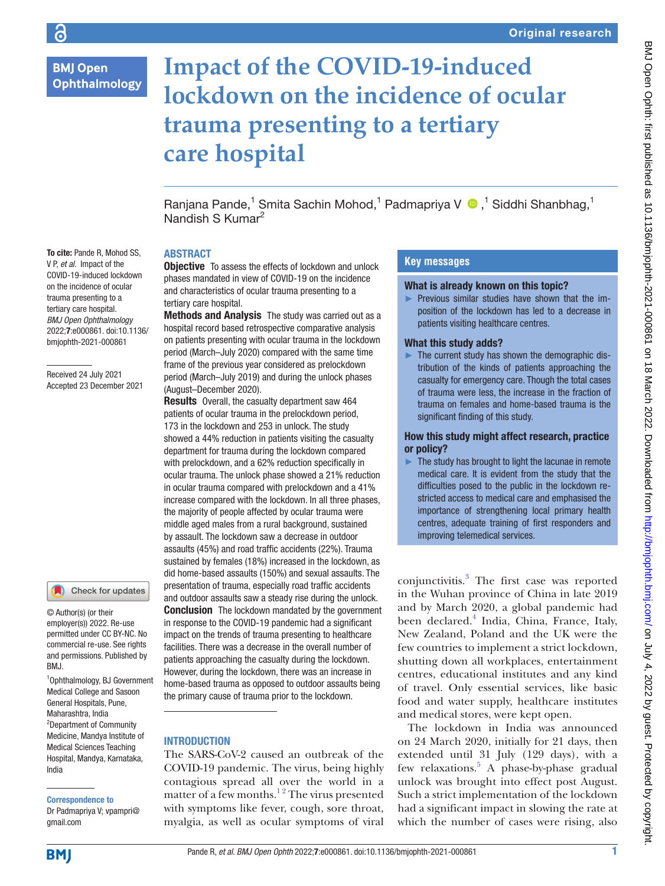# **BMJ Open Ophthalmology**

# **Impact of the COVID-19-induced lockdown on the incidence of ocular trauma presenting to a tertiary care hospital**

RanjanaPande,<sup>1</sup> Smita Sachin Mohod,<sup>1</sup> Padmapriya V ®,<sup>1</sup> Siddhi Shanbhag,<sup>1</sup> Nandish S Kumar<sup>2</sup>

# **ABSTRACT**

**Objective** To assess the effects of lockdown and unlock phases mandated in view of COVID-19 on the incidence and characteristics of ocular trauma presenting to a tertiary care hospital.

Methods and Analysis The study was carried out as a hospital record based retrospective comparative analysis on patients presenting with ocular trauma in the lockdown period (March–July 2020) compared with the same time frame of the previous year considered as prelockdown period (March–July 2019) and during the unlock phases (August–December 2020).

Results Overall, the casualty department saw 464 patients of ocular trauma in the prelockdown period, 173 in the lockdown and 253 in unlock. The study showed a 44% reduction in patients visiting the casualty department for trauma during the lockdown compared with prelockdown, and a 62% reduction specifically in ocular trauma. The unlock phase showed a 21% reduction in ocular trauma compared with prelockdown and a 41% increase compared with the lockdown. In all three phases, the majority of people affected by ocular trauma were middle aged males from a rural background, sustained by assault. The lockdown saw a decrease in outdoor assaults (45%) and road traffic accidents (22%). Trauma sustained by females (18%) increased in the lockdown, as did home-based assaults (150%) and sexual assaults. The presentation of trauma, especially road traffic accidents and outdoor assaults saw a steady rise during the unlock. **Conclusion** The lockdown mandated by the government in response to the COVID-19 pandemic had a significant impact on the trends of trauma presenting to healthcare facilities. There was a decrease in the overall number of patients approaching the casualty during the lockdown. However, during the lockdown, there was an increase in home-based trauma as opposed to outdoor assaults being the primary cause of trauma prior to the lockdown.

## INTRODUCTION

The SARS-CoV-2 caused an outbreak of the COVID-19 pandemic. The virus, being highly contagious spread all over the world in a matter of a few months.<sup>12</sup> The virus presented with symptoms like fever, cough, sore throat, myalgia, as well as ocular symptoms of viral

# **Key messages**

#### What is already known on this topic?

► Previous similar studies have shown that the imposition of the lockdown has led to a decrease in patients visiting healthcare centres.

#### What this study adds?

 $\blacktriangleright$  The current study has shown the demographic distribution of the kinds of patients approaching the casualty for emergency care. Though the total cases of trauma were less, the increase in the fraction of trauma on females and home-based trauma is the significant finding of this study.

#### How this study might affect research, practice or policy?

 $\blacktriangleright$  The study has brought to light the lacunae in remote medical care. It is evident from the study that the difficulties posed to the public in the lockdown restricted access to medical care and emphasised the importance of strengthening local primary health centres, adequate training of first responders and improving telemedical services.

conjunctivitis.[3](#page-4-1) The first case was reported in the Wuhan province of China in late 2019 and by March 2020, a global pandemic had been declared.<sup>[4](#page-4-2)</sup> India, China, France, Italy, New Zealand, Poland and the UK were the few countries to implement a strict lockdown, shutting down all workplaces, entertainment centres, educational institutes and any kind of travel. Only essential services, like basic food and water supply, healthcare institutes and medical stores, were kept open.

The lockdown in India was announced on 24 March 2020, initially for 21 days, then extended until 31 July (129 days), with a few relaxations.<sup>5</sup> A phase-by-phase gradual unlock was brought into effect post August. Such a strict implementation of the lockdown had a significant impact in slowing the rate at which the number of cases were rising, also

BMJ Open Ophth: first published as 10.1136/bmjophth-2021-000861 on 18 March 2022. Downloaded from <http://bmjophth.bmj.com/> on July 4, 2022. by guest. Protected by copyright.

To cite: Pande R, Mohod SS, V P, *et al*. Impact of the COVID-19-induced lockdown on the incidence of ocular trauma presenting to a tertiary care hospital. *BMJ Open Ophthalmology* 2022;7:e000861. doi:10.1136/ bmjophth-2021-000861

Received 24 July 2021 Accepted 23 December 2021

## Check for updates

© Author(s) (or their employer(s)) 2022. Re-use permitted under CC BY-NC. No commercial re-use. See rights and permissions. Published by BMJ.

1 Ophthalmology, BJ Government Medical College and Sasoon General Hospitals, Pune, Maharashtra, India <sup>2</sup>Department of Community Medicine, Mandya Institute of Medical Sciences Teaching Hospital, Mandya, Karnataka, India

# Correspondence to

Dr Padmapriya V; vpampri@ gmail.com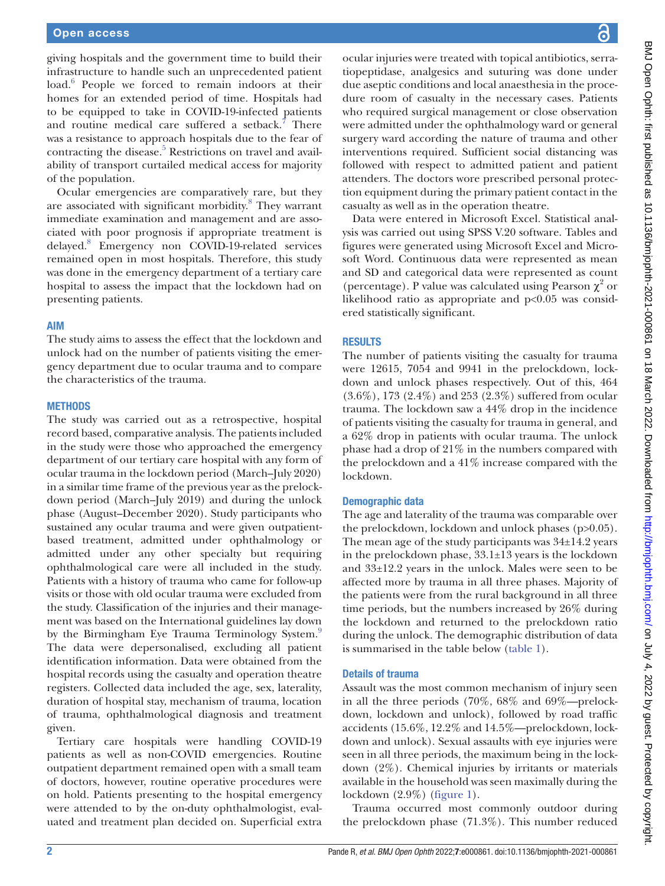giving hospitals and the government time to build their infrastructure to handle such an unprecedented patient load.<sup>[6](#page-4-4)</sup> People we forced to remain indoors at their homes for an extended period of time. Hospitals had to be equipped to take in COVID-19-infected patients and routine medical care suffered a setback.<sup>[7](#page-4-5)</sup> There was a resistance to approach hospitals due to the fear of contracting the disease.<sup>5</sup> Restrictions on travel and availability of transport curtailed medical access for majority of the population.

Ocular emergencies are comparatively rare, but they are associated with significant morbidity.<sup>8</sup> They warrant immediate examination and management and are associated with poor prognosis if appropriate treatment is delayed[.8](#page-5-0) Emergency non COVID-19-related services remained open in most hospitals. Therefore, this study was done in the emergency department of a tertiary care hospital to assess the impact that the lockdown had on presenting patients.

#### AIM

The study aims to assess the effect that the lockdown and unlock had on the number of patients visiting the emergency department due to ocular trauma and to compare the characteristics of the trauma.

#### **METHODS**

The study was carried out as a retrospective, hospital record based, comparative analysis. The patients included in the study were those who approached the emergency department of our tertiary care hospital with any form of ocular trauma in the lockdown period (March–July 2020) in a similar time frame of the previous year as the prelockdown period (March–July 2019) and during the unlock phase (August–December 2020). Study participants who sustained any ocular trauma and were given outpatientbased treatment, admitted under ophthalmology or admitted under any other specialty but requiring ophthalmological care were all included in the study. Patients with a history of trauma who came for follow-up visits or those with old ocular trauma were excluded from the study. Classification of the injuries and their management was based on the International guidelines lay down by the Birmingham Eye Trauma Terminology System.<sup>[9](#page-5-1)</sup> The data were depersonalised, excluding all patient identification information. Data were obtained from the hospital records using the casualty and operation theatre registers. Collected data included the age, sex, laterality, duration of hospital stay, mechanism of trauma, location of trauma, ophthalmological diagnosis and treatment given.

Tertiary care hospitals were handling COVID-19 patients as well as non-COVID emergencies. Routine outpatient department remained open with a small team of doctors, however, routine operative procedures were on hold. Patients presenting to the hospital emergency were attended to by the on-duty ophthalmologist, evaluated and treatment plan decided on. Superficial extra

ocular injuries were treated with topical antibiotics, serratiopeptidase, analgesics and suturing was done under due aseptic conditions and local anaesthesia in the procedure room of casualty in the necessary cases. Patients who required surgical management or close observation were admitted under the ophthalmology ward or general surgery ward according the nature of trauma and other interventions required. Sufficient social distancing was followed with respect to admitted patient and patient attenders. The doctors wore prescribed personal protection equipment during the primary patient contact in the casualty as well as in the operation theatre.

Data were entered in Microsoft Excel. Statistical analysis was carried out using SPSS V.20 software. Tables and figures were generated using Microsoft Excel and Microsoft Word. Continuous data were represented as mean and SD and categorical data were represented as count (percentage). P value was calculated using Pearson  $\chi^2$  or likelihood ratio as appropriate and  $p<0.05$  was considered statistically significant.

#### RESULTS

The number of patients visiting the casualty for trauma were 12615, 7054 and 9941 in the prelockdown, lockdown and unlock phases respectively. Out of this, 464 (3.6%), 173 (2.4%) and 253 (2.3%) suffered from ocular trauma. The lockdown saw a 44% drop in the incidence of patients visiting the casualty for trauma in general, and a 62% drop in patients with ocular trauma. The unlock phase had a drop of 21% in the numbers compared with the prelockdown and a 41% increase compared with the lockdown.

#### Demographic data

The age and laterality of the trauma was comparable over the prelockdown, lockdown and unlock phases (p>0.05). The mean age of the study participants was 34±14.2 years in the prelockdown phase, 33.1±13 years is the lockdown and 33±12.2 years in the unlock. Males were seen to be affected more by trauma in all three phases. Majority of the patients were from the rural background in all three time periods, but the numbers increased by 26% during the lockdown and returned to the prelockdown ratio during the unlock. The demographic distribution of data is summarised in the table below ([table](#page-2-0) 1).

#### Details of trauma

Assault was the most common mechanism of injury seen in all the three periods (70%, 68% and 69%—prelockdown, lockdown and unlock), followed by road traffic accidents (15.6%, 12.2% and 14.5%—prelockdown, lockdown and unlock). Sexual assaults with eye injuries were seen in all three periods, the maximum being in the lockdown (2%). Chemical injuries by irritants or materials available in the household was seen maximally during the lockdown (2.9%) [\(figure](#page-2-1) 1).

Trauma occurred most commonly outdoor during the prelockdown phase (71.3%). This number reduced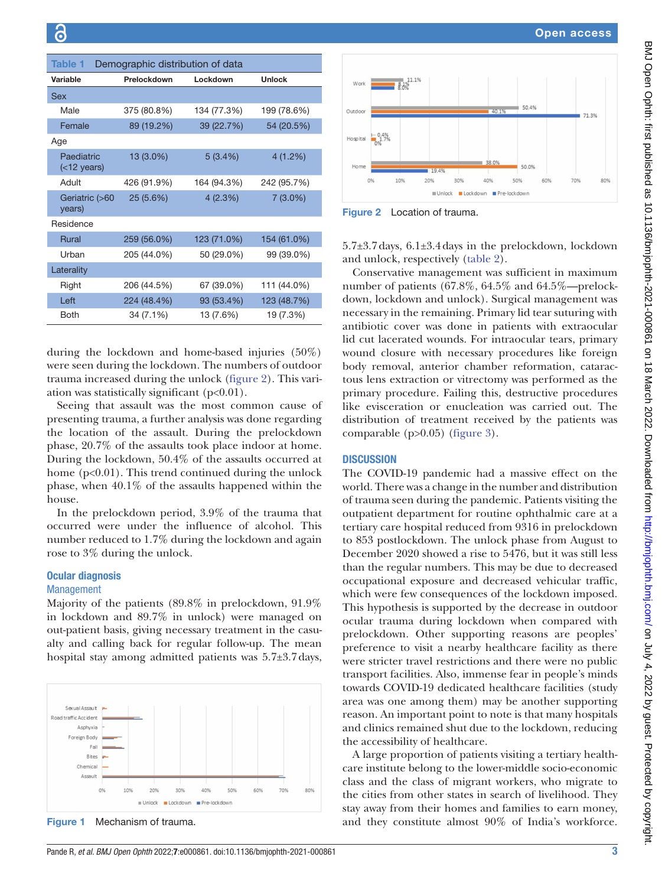<span id="page-2-0"></span>

| <b>Table 1</b>               |             | Demographic distribution of data |               |
|------------------------------|-------------|----------------------------------|---------------|
| Variable                     | Prelockdown | Lockdown                         | <b>Unlock</b> |
| Sex                          |             |                                  |               |
| Male                         | 375 (80.8%) | 134 (77.3%)                      | 199 (78.6%)   |
| Female                       | 89 (19.2%)  | 39 (22.7%)                       | 54 (20.5%)    |
| Age                          |             |                                  |               |
| Paediatric<br>$(<$ 12 years) | 13 (3.0%)   | 5(3.4%)                          | 4(1.2%)       |
| tlubA                        | 426 (91.9%) | 164 (94.3%)                      | 242 (95.7%)   |
| Geriatric (>60<br>years)     | 25 (5.6%)   | 4(2.3%)                          | $7(3.0\%)$    |
| Residence                    |             |                                  |               |
| <b>Rural</b>                 | 259 (56.0%) | 123 (71.0%)                      | 154 (61.0%)   |
| Urban                        | 205 (44.0%) | 50 (29.0%)                       | 99 (39.0%)    |
| Laterality                   |             |                                  |               |
| Right                        | 206 (44.5%) | 67 (39.0%)                       | 111 (44.0%)   |
| Left                         | 224 (48.4%) | 93 (53.4%)                       | 123 (48.7%)   |
| <b>Both</b>                  | 34 (7.1%)   | 13 (7.6%)                        | 19 (7.3%)     |

during the lockdown and home-based injuries (50%) were seen during the lockdown. The numbers of outdoor trauma increased during the unlock [\(figure](#page-2-2) 2). This variation was statistically significant  $(p<0.01)$ .

Seeing that assault was the most common cause of presenting trauma, a further analysis was done regarding the location of the assault. During the prelockdown phase, 20.7% of the assaults took place indoor at home. During the lockdown, 50.4% of the assaults occurred at home  $(p<0.01)$ . This trend continued during the unlock phase, when 40.1% of the assaults happened within the house.

In the prelockdown period, 3.9% of the trauma that occurred were under the influence of alcohol. This number reduced to 1.7% during the lockdown and again rose to 3% during the unlock.

#### Ocular diagnosis

#### Management

Majority of the patients (89.8% in prelockdown, 91.9% in lockdown and 89.7% in unlock) were managed on out-patient basis, giving necessary treatment in the casualty and calling back for regular follow-up. The mean hospital stay among admitted patients was 5.7±3.7days,



<span id="page-2-1"></span>Figure 1 Mechanism of trauma.



<span id="page-2-2"></span>Figure 2 Location of trauma.

5.7±3.7days, 6.1±3.4days in the prelockdown, lockdown and unlock, respectively [\(table](#page-3-0) 2).

Conservative management was sufficient in maximum number of patients (67.8%, 64.5% and 64.5%—prelockdown, lockdown and unlock). Surgical management was necessary in the remaining. Primary lid tear suturing with antibiotic cover was done in patients with extraocular lid cut lacerated wounds. For intraocular tears, primary wound closure with necessary procedures like foreign body removal, anterior chamber reformation, cataractous lens extraction or vitrectomy was performed as the primary procedure. Failing this, destructive procedures like evisceration or enucleation was carried out. The distribution of treatment received by the patients was comparable (p>0.05) [\(figure](#page-3-1) 3).

#### **DISCUSSION**

The COVID-19 pandemic had a massive effect on the world. There was a change in the number and distribution of trauma seen during the pandemic. Patients visiting the outpatient department for routine ophthalmic care at a tertiary care hospital reduced from 9316 in prelockdown to 853 postlockdown. The unlock phase from August to December 2020 showed a rise to 5476, but it was still less than the regular numbers. This may be due to decreased occupational exposure and decreased vehicular traffic, which were few consequences of the lockdown imposed. This hypothesis is supported by the decrease in outdoor ocular trauma during lockdown when compared with prelockdown. Other supporting reasons are peoples' preference to visit a nearby healthcare facility as there were stricter travel restrictions and there were no public transport facilities. Also, immense fear in people's minds towards COVID-19 dedicated healthcare facilities (study area was one among them) may be another supporting reason. An important point to note is that many hospitals and clinics remained shut due to the lockdown, reducing the accessibility of healthcare.

A large proportion of patients visiting a tertiary healthcare institute belong to the lower-middle socio-economic class and the class of migrant workers, who migrate to the cities from other states in search of livelihood. They stay away from their homes and families to earn money, and they constitute almost 90% of India's workforce.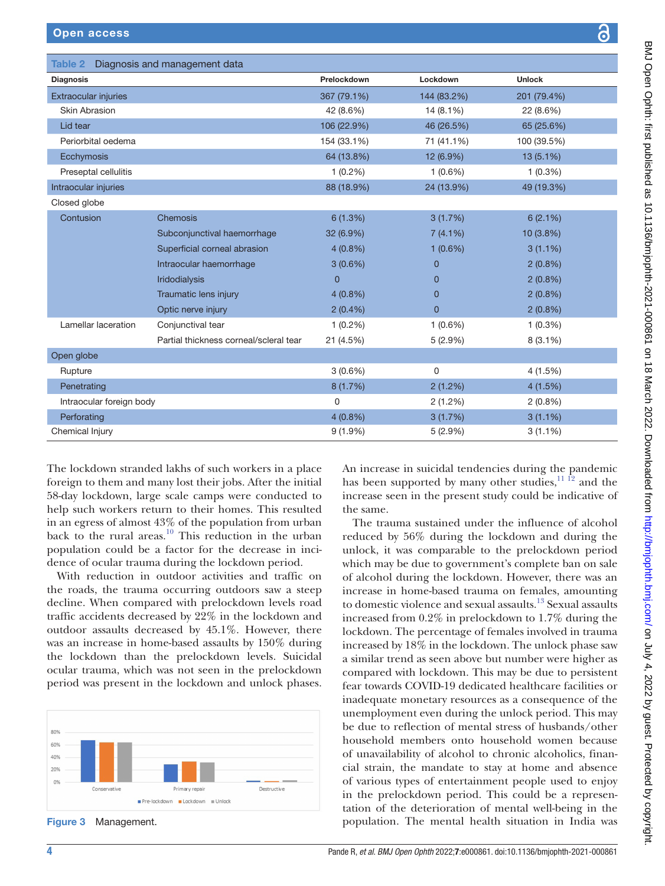<span id="page-3-0"></span>Table 2 Diagnosis and management data

| an a |  |
|------|--|
|      |  |
|      |  |

| <b>Diagnosis</b>            |                                        | Prelockdown | Lockdown       | <b>Unlock</b> |
|-----------------------------|----------------------------------------|-------------|----------------|---------------|
| <b>Extraocular injuries</b> |                                        | 367 (79.1%) | 144 (83.2%)    | 201 (79.4%)   |
| <b>Skin Abrasion</b>        |                                        | 42 (8.6%)   | 14 (8.1%)      | 22 (8.6%)     |
| Lid tear                    |                                        | 106 (22.9%) | 46 (26.5%)     | 65 (25.6%)    |
| Periorbital oedema          |                                        | 154 (33.1%) | 71 (41.1%)     | 100 (39.5%)   |
| Ecchymosis                  |                                        | 64 (13.8%)  | 12 (6.9%)      | $13(5.1\%)$   |
| Preseptal cellulitis        |                                        | $1(0.2\%)$  | $1(0.6\%)$     | $1(0.3\%)$    |
| Intraocular injuries        |                                        | 88 (18.9%)  | 24 (13.9%)     | 49 (19.3%)    |
| Closed globe                |                                        |             |                |               |
| Contusion                   | Chemosis                               | 6(1.3%)     | 3(1.7%)        | 6(2.1%)       |
|                             | Subconjunctival haemorrhage            | 32 (6.9%)   | 7(4.1%)        | 10 (3.8%)     |
|                             | Superficial corneal abrasion           | $4(0.8\%)$  | $1(0.6\%)$     | $3(1.1\%)$    |
|                             | Intraocular haemorrhage                | $3(0.6\%)$  | $\overline{0}$ | $2(0.8\%)$    |
|                             | Iridodialysis                          | $\Omega$    | $\mathbf 0$    | $2(0.8\%)$    |
|                             | Traumatic lens injury                  | $4(0.8\%)$  | $\overline{0}$ | $2(0.8\%)$    |
|                             | Optic nerve injury                     | $2(0.4\%)$  | $\mathbf 0$    | $2(0.8\%)$    |
| Lamellar laceration         | Conjunctival tear                      | $1(0.2\%)$  | $1(0.6\%)$     | $1(0.3\%)$    |
|                             | Partial thickness corneal/scleral tear | 21 (4.5%)   | 5(2.9%)        | $8(3.1\%)$    |
| Open globe                  |                                        |             |                |               |
| Rupture                     |                                        | $3(0.6\%)$  | 0              | 4(1.5%)       |
| Penetrating                 |                                        | 8 (1.7%)    | 2(1.2%)        | 4(1.5%)       |
| Intraocular foreign body    |                                        | $\mathbf 0$ | 2(1.2%)        | $2(0.8\%)$    |
| Perforating                 |                                        | $4(0.8\%)$  | 3(1.7%)        | $3(1.1\%)$    |
| Chemical Injury             |                                        | $9(1.9\%)$  | 5(2.9%)        | $3(1.1\%)$    |

The lockdown stranded lakhs of such workers in a place foreign to them and many lost their jobs. After the initial 58-day lockdown, large scale camps were conducted to help such workers return to their homes. This resulted in an egress of almost 43% of the population from urban back to the rural areas. $10$  This reduction in the urban population could be a factor for the decrease in incidence of ocular trauma during the lockdown period.

With reduction in outdoor activities and traffic on the roads, the trauma occurring outdoors saw a steep decline. When compared with prelockdown levels road traffic accidents decreased by 22% in the lockdown and outdoor assaults decreased by 45.1%. However, there was an increase in home-based assaults by 150% during the lockdown than the prelockdown levels. Suicidal ocular trauma, which was not seen in the prelockdown period was present in the lockdown and unlock phases.



<span id="page-3-1"></span>Figure 3 Management.

An increase in suicidal tendencies during the pandemic has been supported by many other studies, $11$   $12$  and the increase seen in the present study could be indicative of the same.

The trauma sustained under the influence of alcohol reduced by 56% during the lockdown and during the unlock, it was comparable to the prelockdown period which may be due to government's complete ban on sale of alcohol during the lockdown. However, there was an increase in home-based trauma on females, amounting to domestic violence and sexual assaults.<sup>13</sup> Sexual assaults increased from 0.2% in prelockdown to 1.7% during the lockdown. The percentage of females involved in trauma increased by 18% in the lockdown. The unlock phase saw a similar trend as seen above but number were higher as compared with lockdown. This may be due to persistent fear towards COVID-19 dedicated healthcare facilities or inadequate monetary resources as a consequence of the unemployment even during the unlock period. This may be due to reflection of mental stress of husbands/other household members onto household women because of unavailability of alcohol to chronic alcoholics, financial strain, the mandate to stay at home and absence of various types of entertainment people used to enjoy in the prelockdown period. This could be a representation of the deterioration of mental well-being in the population. The mental health situation in India was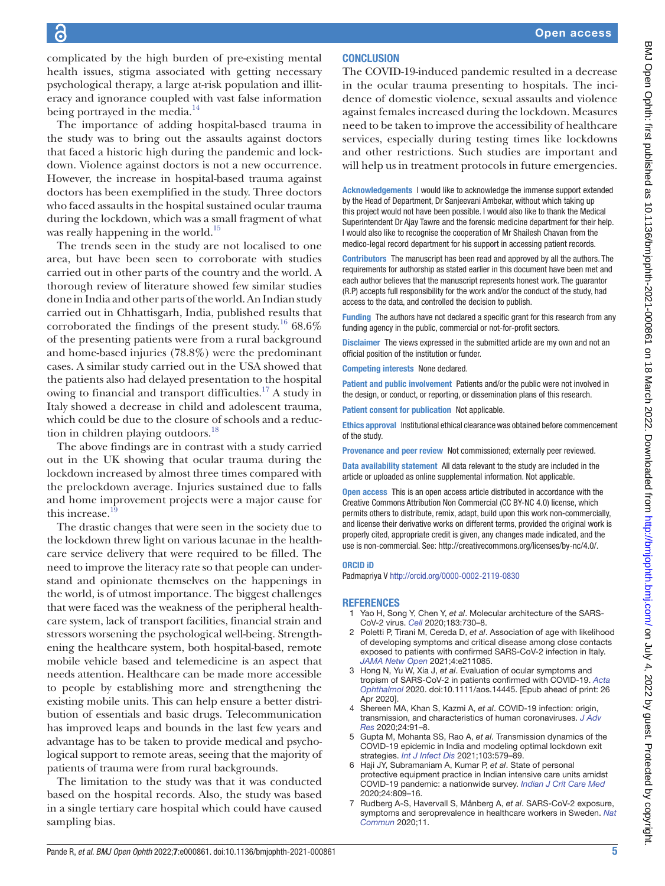complicated by the high burden of pre-existing mental health issues, stigma associated with getting necessary psychological therapy, a large at-risk population and illiteracy and ignorance coupled with vast false information being portrayed in the media.<sup>[14](#page-5-5)</sup>

The importance of adding hospital-based trauma in the study was to bring out the assaults against doctors that faced a historic high during the pandemic and lockdown. Violence against doctors is not a new occurrence. However, the increase in hospital-based trauma against doctors has been exemplified in the study. Three doctors who faced assaults in the hospital sustained ocular trauma during the lockdown, which was a small fragment of what was really happening in the world.<sup>15</sup>

The trends seen in the study are not localised to one area, but have been seen to corroborate with studies carried out in other parts of the country and the world. A thorough review of literature showed few similar studies done in India and other parts of the world. An Indian study carried out in Chhattisgarh, India, published results that corroborated the findings of the present study.<sup>16</sup> 68.6% of the presenting patients were from a rural background and home-based injuries (78.8%) were the predominant cases. A similar study carried out in the USA showed that the patients also had delayed presentation to the hospital owing to financial and transport difficulties.<sup>[17](#page-5-8)</sup> A study in Italy showed a decrease in child and adolescent trauma, which could be due to the closure of schools and a reduc-tion in children playing outdoors.<sup>[18](#page-5-9)</sup>

The above findings are in contrast with a study carried out in the UK showing that ocular trauma during the lockdown increased by almost three times compared with the prelockdown average. Injuries sustained due to falls and home improvement projects were a major cause for this increase.

The drastic changes that were seen in the society due to the lockdown threw light on various lacunae in the healthcare service delivery that were required to be filled. The need to improve the literacy rate so that people can understand and opinionate themselves on the happenings in the world, is of utmost importance. The biggest challenges that were faced was the weakness of the peripheral healthcare system, lack of transport facilities, financial strain and stressors worsening the psychological well-being. Strengthening the healthcare system, both hospital-based, remote mobile vehicle based and telemedicine is an aspect that needs attention. Healthcare can be made more accessible to people by establishing more and strengthening the existing mobile units. This can help ensure a better distribution of essentials and basic drugs. Telecommunication has improved leaps and bounds in the last few years and advantage has to be taken to provide medical and psychological support to remote areas, seeing that the majority of patients of trauma were from rural backgrounds.

The limitation to the study was that it was conducted based on the hospital records. Also, the study was based in a single tertiary care hospital which could have caused sampling bias.

## **CONCLUSION**

The COVID-19-induced pandemic resulted in a decrease in the ocular trauma presenting to hospitals. The incidence of domestic violence, sexual assaults and violence against females increased during the lockdown. Measures need to be taken to improve the accessibility of healthcare services, especially during testing times like lockdowns and other restrictions. Such studies are important and will help us in treatment protocols in future emergencies.

Acknowledgements I would like to acknowledge the immense support extended by the Head of Department, Dr Sanjeevani Ambekar, without which taking up this project would not have been possible. I would also like to thank the Medical Superintendent Dr Ajay Tawre and the forensic medicine department for their help. I would also like to recognise the cooperation of Mr Shailesh Chavan from the medico-legal record department for his support in accessing patient records.

Contributors The manuscript has been read and approved by all the authors. The requirements for authorship as stated earlier in this document have been met and each author believes that the manuscript represents honest work. The guarantor (R.P) accepts full responsibility for the work and/or the conduct of the study, had access to the data, and controlled the decision to publish.

Funding The authors have not declared a specific grant for this research from any funding agency in the public, commercial or not-for-profit sectors.

Disclaimer The views expressed in the submitted article are my own and not an official position of the institution or funder.

Competing interests None declared.

Patient and public involvement Patients and/or the public were not involved in the design, or conduct, or reporting, or dissemination plans of this research.

Patient consent for publication Not applicable.

Ethics approval Institutional ethical clearance was obtained before commencement of the study.

Provenance and peer review Not commissioned; externally peer reviewed.

Data availability statement All data relevant to the study are included in the article or uploaded as online supplemental information. Not applicable.

Open access This is an open access article distributed in accordance with the Creative Commons Attribution Non Commercial (CC BY-NC 4.0) license, which permits others to distribute, remix, adapt, build upon this work non-commercially, and license their derivative works on different terms, provided the original work is properly cited, appropriate credit is given, any changes made indicated, and the use is non-commercial. See:<http://creativecommons.org/licenses/by-nc/4.0/>.

#### ORCID iD

Padmapriya V<http://orcid.org/0000-0002-2119-0830>

#### <span id="page-4-0"></span>**REFERENCES**

- Yao H, Song Y, Chen Y, et al. Molecular architecture of the SARS-CoV-2 virus. *[Cell](http://dx.doi.org/10.1016/j.cell.2020.09.018)* 2020;183:730–8.
- 2 Poletti P, Tirani M, Cereda D, *et al*. Association of age with likelihood of developing symptoms and critical disease among close contacts exposed to patients with confirmed SARS-CoV-2 infection in Italy. *[JAMA Netw Open](http://dx.doi.org/10.1001/jamanetworkopen.2021.1085)* 2021;4:e211085.
- <span id="page-4-1"></span>3 Hong N, Yu W, Xia J, *et al*. Evaluation of ocular symptoms and tropism of SARS-CoV-2 in patients confirmed with COVID-19. *[Acta](http://dx.doi.org/10.1111/aos.14445)  [Ophthalmol](http://dx.doi.org/10.1111/aos.14445)* 2020. doi:10.1111/aos.14445. [Epub ahead of print: 26 Apr 2020].
- <span id="page-4-2"></span>Shereen MA, Khan S, Kazmi A, et al. COVID-19 infection: origin, transmission, and characteristics of human coronaviruses. *[J Adv](http://dx.doi.org/10.1016/j.jare.2020.03.005)  [Res](http://dx.doi.org/10.1016/j.jare.2020.03.005)* 2020;24:91–8.
- <span id="page-4-3"></span>5 Gupta M, Mohanta SS, Rao A, *et al*. Transmission dynamics of the COVID-19 epidemic in India and modeling optimal lockdown exit strategies. *[Int J Infect Dis](http://dx.doi.org/10.1016/j.ijid.2020.11.206)* 2021;103:579–89.
- <span id="page-4-4"></span>6 Haji JY, Subramaniam A, Kumar P, *et al*. State of personal protective equipment practice in Indian intensive care units amidst COVID-19 pandemic: a nationwide survey. *[Indian J Crit Care Med](http://dx.doi.org/10.5005/jp-journals-10071-23550)* 2020;24:809–16.
- <span id="page-4-5"></span>7 Rudberg A-S, Havervall S, Månberg A, *et al*. SARS-CoV-2 exposure, symptoms and seroprevalence in healthcare workers in Sweden. *[Nat](http://dx.doi.org/10.1038/s41467-020-18848-0)  [Commun](http://dx.doi.org/10.1038/s41467-020-18848-0)* 2020;11.